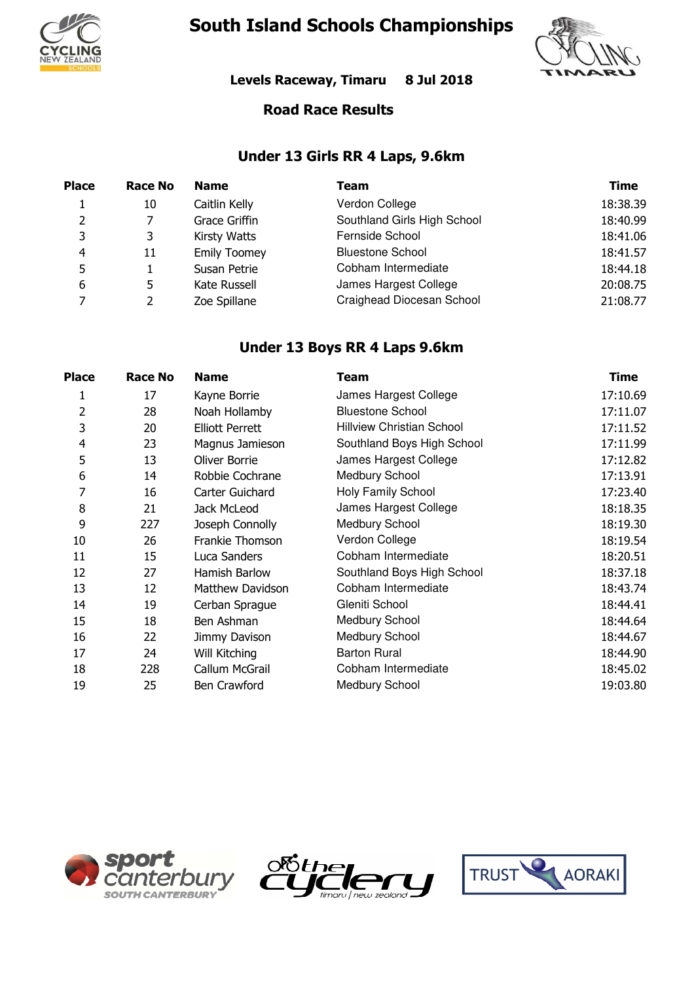

# **South Island Schools Championships**



**Levels Raceway, Timaru 8 Jul 2018**

#### **Road Race Results**

#### **Under 13 Girls RR 4 Laps, 9.6km**

| <b>Place</b> | Race No | <b>Name</b>         | Team                        | Time     |
|--------------|---------|---------------------|-----------------------------|----------|
|              | 10      | Caitlin Kelly       | Verdon College              | 18:38.39 |
| 2            |         | Grace Griffin       | Southland Girls High School | 18:40.99 |
| 3            |         | <b>Kirsty Watts</b> | Fernside School             | 18:41.06 |
| 4            | 11      | <b>Emily Toomey</b> | <b>Bluestone School</b>     | 18:41.57 |
| 5            |         | Susan Petrie        | Cobham Intermediate         | 18:44.18 |
| 6            | 5       | Kate Russell        | James Hargest College       | 20:08.75 |
| 7            |         | Zoe Spillane        | Craighead Diocesan School   | 21:08.77 |

#### **Under 13 Boys RR 4 Laps 9.6km**

| <b>Place</b>   | <b>Race No</b> | <b>Name</b>             | Team                       | <b>Time</b> |
|----------------|----------------|-------------------------|----------------------------|-------------|
| 1              | 17             | Kayne Borrie            | James Hargest College      | 17:10.69    |
| 2              | 28             | Noah Hollamby           | <b>Bluestone School</b>    | 17:11.07    |
| 3              | 20             | <b>Elliott Perrett</b>  | Hillview Christian School  | 17:11.52    |
| $\overline{4}$ | 23             | Magnus Jamieson         | Southland Boys High School | 17:11.99    |
| 5              | 13             | Oliver Borrie           | James Hargest College      | 17:12.82    |
| 6              | 14             | Robbie Cochrane         | Medbury School             | 17:13.91    |
| 7              | 16             | Carter Guichard         | Holy Family School         | 17:23.40    |
| 8              | 21             | Jack McLeod             | James Hargest College      | 18:18.35    |
| 9              | 227            | Joseph Connolly         | <b>Medbury School</b>      | 18:19.30    |
| 10             | 26             | Frankie Thomson         | Verdon College             | 18:19.54    |
| 11             | 15             | Luca Sanders            | Cobham Intermediate        | 18:20.51    |
| 12             | 27             | Hamish Barlow           | Southland Boys High School | 18:37.18    |
| 13             | 12             | <b>Matthew Davidson</b> | Cobham Intermediate        | 18:43.74    |
| 14             | 19             | Cerban Sprague          | Gleniti School             | 18:44.41    |
| 15             | 18             | Ben Ashman              | Medbury School             | 18:44.64    |
| 16             | 22             | Jimmy Davison           | <b>Medbury School</b>      | 18:44.67    |
| 17             | 24             | Will Kitching           | <b>Barton Rural</b>        | 18:44.90    |
| 18             | 228            | Callum McGrail          | Cobham Intermediate        | 18:45.02    |
| 19             | 25             | Ben Crawford            | <b>Medbury School</b>      | 19:03.80    |





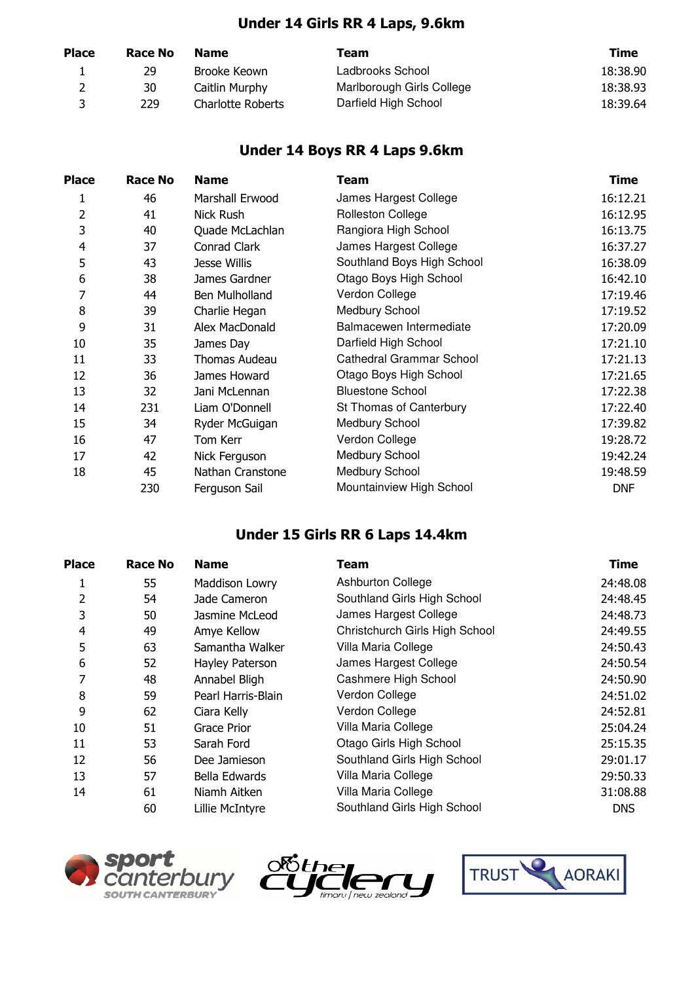#### **Under 14 Girls RR 4 Laps, 9.6km**

| <b>Place</b> | Race No | <b>Name</b>              | Team                      | Time     |
|--------------|---------|--------------------------|---------------------------|----------|
|              | 29      | Brooke Keown             | Ladbrooks School          | 18:38.90 |
|              | 30      | Caitlin Murphy           | Marlborough Girls College | 18:38.93 |
| ર            | 229     | <b>Charlotte Roberts</b> | Darfield High School      | 18:39.64 |

#### **Under 14 Boys RR 4 Laps 9.6km**

| <b>Place</b>   | <b>Race No</b> | <b>Name</b>      | Team                       | <b>Time</b> |
|----------------|----------------|------------------|----------------------------|-------------|
| 1              | 46             | Marshall Erwood  | James Hargest College      | 16:12.21    |
| 2              | 41             | Nick Rush        | <b>Rolleston College</b>   | 16:12.95    |
| 3              | 40             | Quade McLachlan  | Rangiora High School       | 16:13.75    |
| $\overline{4}$ | 37             | Conrad Clark     | James Hargest College      | 16:37.27    |
| 5              | 43             | Jesse Willis     | Southland Boys High School | 16:38.09    |
| 6              | 38             | James Gardner    | Otago Boys High School     | 16:42.10    |
| 7              | 44             | Ben Mulholland   | Verdon College             | 17:19.46    |
| 8              | 39             | Charlie Hegan    | Medbury School             | 17:19.52    |
| 9              | 31             | Alex MacDonald   | Balmacewen Intermediate    | 17:20.09    |
| 10             | 35             | James Day        | Darfield High School       | 17:21.10    |
| 11             | 33             | Thomas Audeau    | Cathedral Grammar School   | 17:21.13    |
| 12             | 36             | James Howard     | Otago Boys High School     | 17:21.65    |
| 13             | 32             | Jani McLennan    | <b>Bluestone School</b>    | 17:22.38    |
| 14             | 231            | Liam O'Donnell   | St Thomas of Canterbury    | 17:22.40    |
| 15             | 34             | Ryder McGuigan   | Medbury School             | 17:39.82    |
| 16             | 47             | Tom Kerr         | Verdon College             | 19:28.72    |
| 17             | 42             | Nick Ferguson    | Medbury School             | 19:42.24    |
| 18             | 45             | Nathan Cranstone | Medbury School             | 19:48.59    |
|                | 230            | Ferguson Sail    | Mountainview High School   | <b>DNF</b>  |

#### **Under 15 Girls RR 6 Laps 14.4km**

| <b>Place</b>   | <b>Race No</b> | <b>Name</b>           | Team                           | <b>Time</b> |
|----------------|----------------|-----------------------|--------------------------------|-------------|
|                | 55             | <b>Maddison Lowry</b> | <b>Ashburton College</b>       | 24:48.08    |
| 2              | 54             | Jade Cameron          | Southland Girls High School    | 24:48.45    |
| 3              | 50             | Jasmine McLeod        | James Hargest College          | 24:48.73    |
| $\overline{4}$ | 49             | Amye Kellow           | Christchurch Girls High School | 24:49.55    |
| 5              | 63             | Samantha Walker       | Villa Maria College            | 24:50.43    |
| 6              | 52             | Hayley Paterson       | James Hargest College          | 24:50.54    |
| 7              | 48             | Annabel Bligh         | Cashmere High School           | 24:50.90    |
| 8              | 59             | Pearl Harris-Blain    | Verdon College                 | 24:51.02    |
| 9              | 62             | Ciara Kelly           | Verdon College                 | 24:52.81    |
| 10             | 51             | Grace Prior           | Villa Maria College            | 25:04.24    |
| 11             | 53             | Sarah Ford            | Otago Girls High School        | 25:15.35    |
| 12             | 56             | Dee Jamieson          | Southland Girls High School    | 29:01.17    |
| 13             | 57             | Bella Edwards         | Villa Maria College            | 29:50.33    |
| 14             | 61             | Niamh Aitken          | Villa Maria College            | 31:08.88    |
|                | 60             | Lillie McIntyre       | Southland Girls High School    | <b>DNS</b>  |





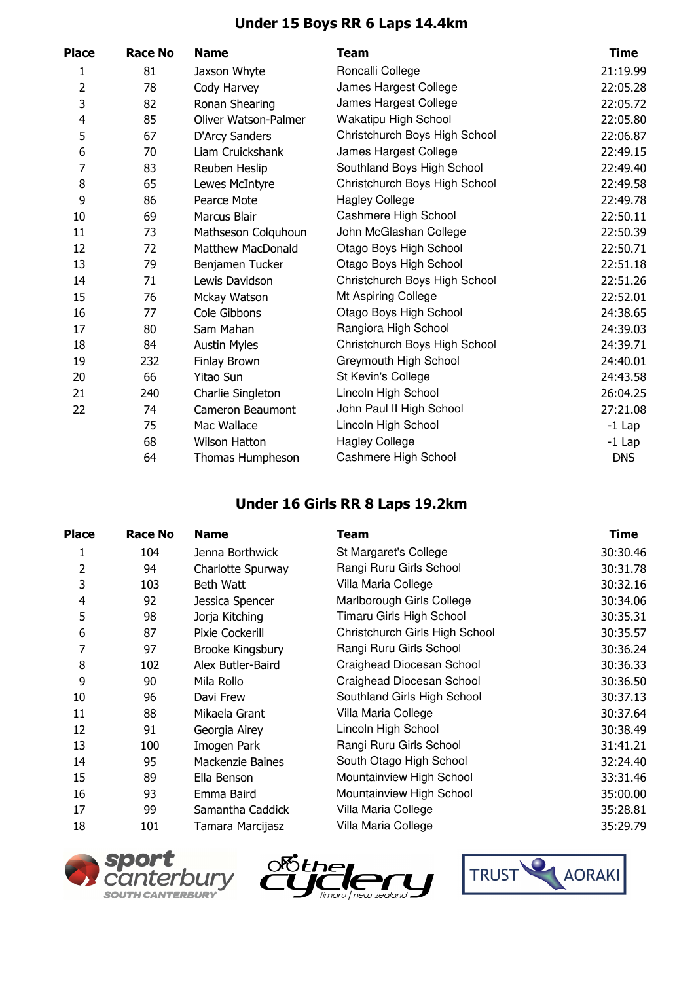# **Under 15 Boys RR 6 Laps 14.4km**

| <b>Place</b> | Race No | <b>Name</b>                 | Team                          | <b>Time</b> |
|--------------|---------|-----------------------------|-------------------------------|-------------|
| 1            | 81      | Jaxson Whyte                | Roncalli College              | 21:19.99    |
| 2            | 78      | Cody Harvey                 | James Hargest College         | 22:05.28    |
| 3            | 82      | Ronan Shearing              | James Hargest College         | 22:05.72    |
| 4            | 85      | <b>Oliver Watson-Palmer</b> | Wakatipu High School          | 22:05.80    |
| 5            | 67      | D'Arcy Sanders              | Christchurch Boys High School | 22:06.87    |
| 6            | 70      | Liam Cruickshank            | James Hargest College         | 22:49.15    |
| 7            | 83      | Reuben Heslip               | Southland Boys High School    | 22:49.40    |
| 8            | 65      | Lewes McIntyre              | Christchurch Boys High School | 22:49.58    |
| 9            | 86      | Pearce Mote                 | <b>Hagley College</b>         | 22:49.78    |
| 10           | 69      | <b>Marcus Blair</b>         | Cashmere High School          | 22:50.11    |
| 11           | 73      | Mathseson Colguhoun         | John McGlashan College        | 22:50.39    |
| 12           | 72      | <b>Matthew MacDonald</b>    | Otago Boys High School        | 22:50.71    |
| 13           | 79      | Benjamen Tucker             | Otago Boys High School        | 22:51.18    |
| 14           | 71      | Lewis Davidson              | Christchurch Boys High School | 22:51.26    |
| 15           | 76      | Mckay Watson                | Mt Aspiring College           | 22:52.01    |
| 16           | 77      | Cole Gibbons                | Otago Boys High School        | 24:38.65    |
| 17           | 80      | Sam Mahan                   | Rangiora High School          | 24:39.03    |
| 18           | 84      | <b>Austin Myles</b>         | Christchurch Boys High School | 24:39.71    |
| 19           | 232     | Finlay Brown                | Greymouth High School         | 24:40.01    |
| 20           | 66      | Yitao Sun                   | St Kevin's College            | 24:43.58    |
| 21           | 240     | Charlie Singleton           | Lincoln High School           | 26:04.25    |
| 22           | 74      | Cameron Beaumont            | John Paul II High School      | 27:21.08    |
|              | 75      | Mac Wallace                 | Lincoln High School           | $-1$ Lap    |
|              | 68      | <b>Wilson Hatton</b>        | <b>Hagley College</b>         | $-1$ Lap    |
|              | 64      | Thomas Humpheson            | Cashmere High School          | <b>DNS</b>  |
|              |         |                             |                               |             |

#### **Under 16 Girls RR 8 Laps 19.2km**

| Place | <b>Race No</b> | <b>Name</b>       | Team                           | <b>Time</b> |
|-------|----------------|-------------------|--------------------------------|-------------|
|       | 104            | Jenna Borthwick   | St Margaret's College          | 30:30.46    |
| 2     | 94             | Charlotte Spurway | Rangi Ruru Girls School        | 30:31.78    |
| 3     | 103            | Beth Watt         | Villa Maria College            | 30:32.16    |
| 4     | 92             | Jessica Spencer   | Marlborough Girls College      | 30:34.06    |
| 5     | 98             | Jorja Kitching    | Timaru Girls High School       | 30:35.31    |
| 6     | 87             | Pixie Cockerill   | Christchurch Girls High School | 30:35.57    |
| 7     | 97             | Brooke Kingsbury  | Rangi Ruru Girls School        | 30:36.24    |
| 8     | 102            | Alex Butler-Baird | Craighead Diocesan School      | 30:36.33    |
| 9     | 90             | Mila Rollo        | Craighead Diocesan School      | 30:36.50    |
| 10    | 96             | Davi Frew         | Southland Girls High School    | 30:37.13    |
| 11    | 88             | Mikaela Grant     | Villa Maria College            | 30:37.64    |
| 12    | 91             | Georgia Airey     | Lincoln High School            | 30:38.49    |
| 13    | 100            | Imogen Park       | Rangi Ruru Girls School        | 31:41.21    |
| 14    | 95             | Mackenzie Baines  | South Otago High School        | 32:24.40    |
| 15    | 89             | Ella Benson       | Mountainview High School       | 33:31.46    |
| 16    | 93             | Emma Baird        | Mountainview High School       | 35:00.00    |
| 17    | 99             | Samantha Caddick  | Villa Maria College            | 35:28.81    |
| 18    | 101            | Tamara Marcijasz  | Villa Maria College            | 35:29.79    |





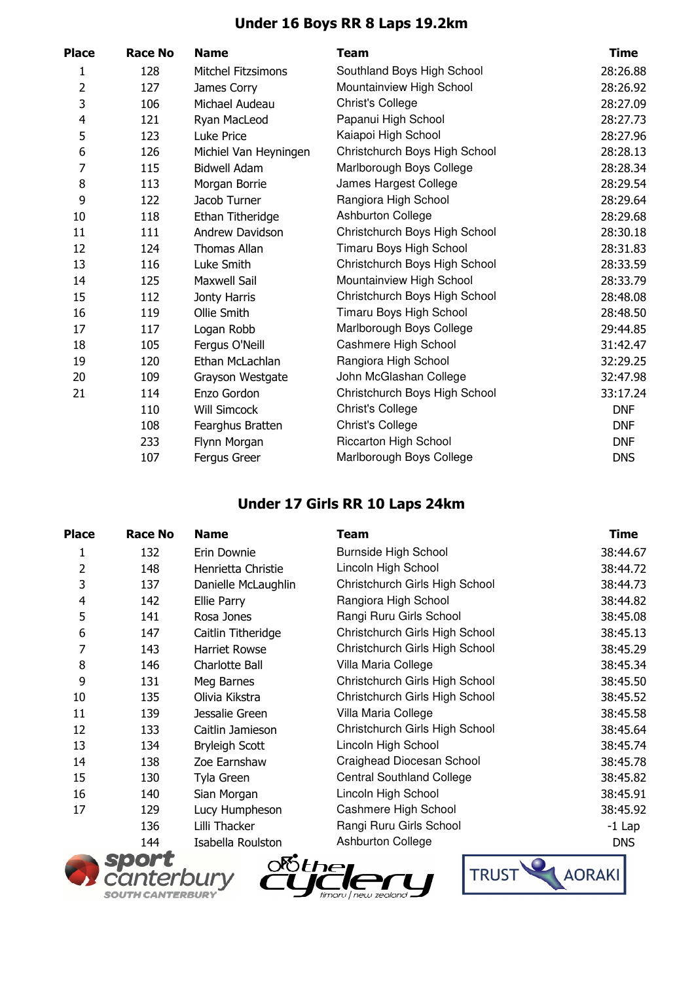### **Under 16 Boys RR 8 Laps 19.2km**

| Place | Race No | <b>Name</b>               | Team                          | <b>Time</b> |
|-------|---------|---------------------------|-------------------------------|-------------|
| 1     | 128     | <b>Mitchel Fitzsimons</b> | Southland Boys High School    | 28:26.88    |
| 2     | 127     | James Corry               | Mountainview High School      | 28:26.92    |
| 3     | 106     | Michael Audeau            | Christ's College              | 28:27.09    |
| 4     | 121     | Ryan MacLeod              | Papanui High School           | 28:27.73    |
| 5     | 123     | Luke Price                | Kaiapoi High School           | 28:27.96    |
| 6     | 126     | Michiel Van Heyningen     | Christchurch Boys High School | 28:28.13    |
| 7     | 115     | <b>Bidwell Adam</b>       | Marlborough Boys College      | 28:28.34    |
| 8     | 113     | Morgan Borrie             | James Hargest College         | 28:29.54    |
| 9     | 122     | Jacob Turner              | Rangiora High School          | 28:29.64    |
| 10    | 118     | Ethan Titheridge          | Ashburton College             | 28:29.68    |
| 11    | 111     | Andrew Davidson           | Christchurch Boys High School | 28:30.18    |
| 12    | 124     | <b>Thomas Allan</b>       | Timaru Boys High School       | 28:31.83    |
| 13    | 116     | Luke Smith                | Christchurch Boys High School | 28:33.59    |
| 14    | 125     | <b>Maxwell Sail</b>       | Mountainview High School      | 28:33.79    |
| 15    | 112     | Jonty Harris              | Christchurch Boys High School | 28:48.08    |
| 16    | 119     | Ollie Smith               | Timaru Boys High School       | 28:48.50    |
| 17    | 117     | Logan Robb                | Marlborough Boys College      | 29:44.85    |
| 18    | 105     | Fergus O'Neill            | Cashmere High School          | 31:42.47    |
| 19    | 120     | Ethan McLachlan           | Rangiora High School          | 32:29.25    |
| 20    | 109     | Grayson Westgate          | John McGlashan College        | 32:47.98    |
| 21    | 114     | Enzo Gordon               | Christchurch Boys High School | 33:17.24    |
|       | 110     | <b>Will Simcock</b>       | Christ's College              | <b>DNF</b>  |
|       | 108     | Fearghus Bratten          | Christ's College              | <b>DNF</b>  |
|       | 233     | Flynn Morgan              | <b>Riccarton High School</b>  | <b>DNF</b>  |
|       | 107     | Fergus Greer              | Marlborough Boys College      | <b>DNS</b>  |
|       |         |                           |                               |             |

#### **Under 17 Girls RR 10 Laps 24km**

| Place | <b>Race No</b> | <b>Name</b>           | Team                             | <b>Time</b> |
|-------|----------------|-----------------------|----------------------------------|-------------|
| 1     | 132            | Erin Downie           | <b>Burnside High School</b>      | 38:44.67    |
| 2     | 148            | Henrietta Christie    | Lincoln High School              | 38:44.72    |
| 3     | 137            | Danielle McLaughlin   | Christchurch Girls High School   | 38:44.73    |
| 4     | 142            | Ellie Parry           | Rangiora High School             | 38:44.82    |
| 5     | 141            | Rosa Jones            | Rangi Ruru Girls School          | 38:45.08    |
| 6     | 147            | Caitlin Titheridge    | Christchurch Girls High School   | 38:45.13    |
| 7     | 143            | <b>Harriet Rowse</b>  | Christchurch Girls High School   | 38:45.29    |
| 8     | 146            | Charlotte Ball        | Villa Maria College              | 38:45.34    |
| 9     | 131            | Meg Barnes            | Christchurch Girls High School   | 38:45.50    |
| 10    | 135            | Olivia Kikstra        | Christchurch Girls High School   | 38:45.52    |
| 11    | 139            | Jessalie Green        | Villa Maria College              | 38:45.58    |
| 12    | 133            | Caitlin Jamieson      | Christchurch Girls High School   | 38:45.64    |
| 13    | 134            | <b>Bryleigh Scott</b> | Lincoln High School              | 38:45.74    |
| 14    | 138            | Zoe Earnshaw          | Craighead Diocesan School        | 38:45.78    |
| 15    | 130            | Tyla Green            | <b>Central Southland College</b> | 38:45.82    |
| 16    | 140            | Sian Morgan           | Lincoln High School              | 38:45.91    |
| 17    | 129            | Lucy Humpheson        | Cashmere High School             | 38:45.92    |
|       | 136            | Lilli Thacker         | Rangi Ruru Girls School          | $-1$ Lap    |
|       | 144            | Isabella Roulston     | Ashburton College                | <b>DNS</b>  |
|       |                |                       |                                  |             |





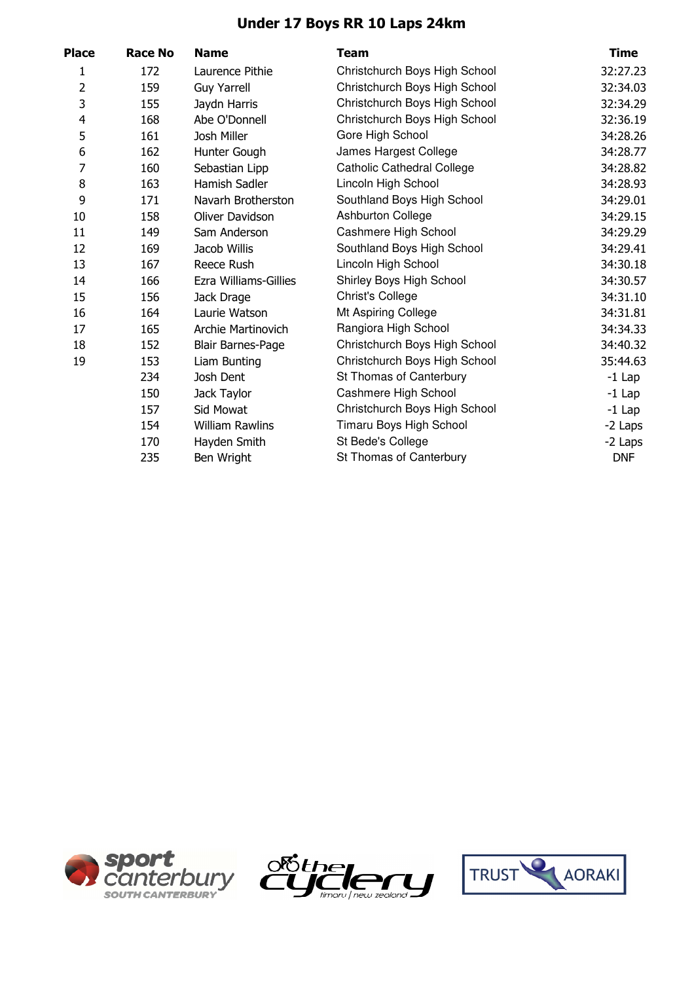## **Under 17 Boys RR 10 Laps 24km**

| Place                   | <b>Race No</b> | <b>Name</b>            | <b>Team</b>                       | <b>Time</b> |
|-------------------------|----------------|------------------------|-----------------------------------|-------------|
| 1                       | 172            | Laurence Pithie        | Christchurch Boys High School     | 32:27.23    |
| 2                       | 159            | <b>Guy Yarrell</b>     | Christchurch Boys High School     | 32:34.03    |
| 3                       | 155            | Jaydn Harris           | Christchurch Boys High School     | 32:34.29    |
| $\overline{\mathbf{4}}$ | 168            | Abe O'Donnell          | Christchurch Boys High School     | 32:36.19    |
| 5                       | 161            | Josh Miller            | Gore High School                  | 34:28.26    |
| 6                       | 162            | Hunter Gough           | James Hargest College             | 34:28.77    |
| 7                       | 160            | Sebastian Lipp         | <b>Catholic Cathedral College</b> | 34:28.82    |
| 8                       | 163            | Hamish Sadler          | Lincoln High School               | 34:28.93    |
| 9                       | 171            | Navarh Brotherston     | Southland Boys High School        | 34:29.01    |
| 10                      | 158            | Oliver Davidson        | Ashburton College                 | 34:29.15    |
| 11                      | 149            | Sam Anderson           | Cashmere High School              | 34:29.29    |
| 12                      | 169            | Jacob Willis           | Southland Boys High School        | 34:29.41    |
| 13                      | 167            | Reece Rush             | Lincoln High School               | 34:30.18    |
| 14                      | 166            | Ezra Williams-Gillies  | Shirley Boys High School          | 34:30.57    |
| 15                      | 156            | Jack Drage             | <b>Christ's College</b>           | 34:31.10    |
| 16                      | 164            | Laurie Watson          | Mt Aspiring College               | 34:31.81    |
| 17                      | 165            | Archie Martinovich     | Rangiora High School              | 34:34.33    |
| 18                      | 152            | Blair Barnes-Page      | Christchurch Boys High School     | 34:40.32    |
| 19                      | 153            | Liam Bunting           | Christchurch Boys High School     | 35:44.63    |
|                         | 234            | Josh Dent              | St Thomas of Canterbury           | $-1$ Lap    |
|                         | 150            | Jack Taylor            | Cashmere High School              | $-1$ Lap    |
|                         | 157            | Sid Mowat              | Christchurch Boys High School     | $-1$ Lap    |
|                         | 154            | <b>William Rawlins</b> | Timaru Boys High School           | -2 Laps     |
|                         | 170            | Hayden Smith           | St Bede's College                 | -2 Laps     |
|                         | 235            | Ben Wright             | St Thomas of Canterbury           | <b>DNF</b>  |





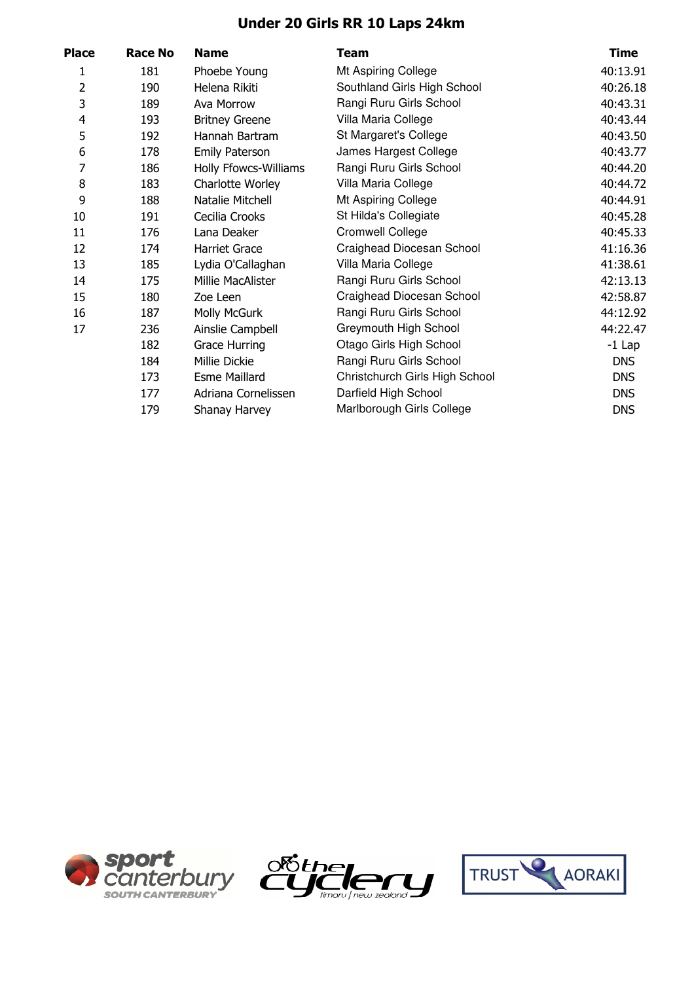## **Under 20 Girls RR 10 Laps 24km**

| <b>Race No</b> | <b>Name</b>           | <b>Team</b>                    | <b>Time</b> |
|----------------|-----------------------|--------------------------------|-------------|
| 181            | Phoebe Young          | Mt Aspiring College            | 40:13.91    |
| 190            | Helena Rikiti         | Southland Girls High School    | 40:26.18    |
| 189            | Ava Morrow            | Rangi Ruru Girls School        | 40:43.31    |
| 193            | <b>Britney Greene</b> | Villa Maria College            | 40:43.44    |
| 192            | Hannah Bartram        | St Margaret's College          | 40:43.50    |
| 178            | <b>Emily Paterson</b> | James Hargest College          | 40:43.77    |
| 186            | Holly Ffowcs-Williams | Rangi Ruru Girls School        | 40:44.20    |
| 183            | Charlotte Worley      | Villa Maria College            | 40:44.72    |
| 188            | Natalie Mitchell      | Mt Aspiring College            | 40:44.91    |
| 191            | Cecilia Crooks        | St Hilda's Collegiate          | 40:45.28    |
| 176            | Lana Deaker           | <b>Cromwell College</b>        | 40:45.33    |
| 174            | <b>Harriet Grace</b>  | Craighead Diocesan School      | 41:16.36    |
| 185            | Lydia O'Callaghan     | Villa Maria College            | 41:38.61    |
| 175            | Millie MacAlister     | Rangi Ruru Girls School        | 42:13.13    |
| 180            | Zoe Leen              | Craighead Diocesan School      | 42:58.87    |
| 187            | Molly McGurk          | Rangi Ruru Girls School        | 44:12.92    |
| 236            | Ainslie Campbell      | Greymouth High School          | 44:22.47    |
| 182            | <b>Grace Hurring</b>  | Otago Girls High School        | $-1$ Lap    |
| 184            | Millie Dickie         | Rangi Ruru Girls School        | <b>DNS</b>  |
| 173            | <b>Esme Maillard</b>  | Christchurch Girls High School | <b>DNS</b>  |
| 177            | Adriana Cornelissen   | Darfield High School           | <b>DNS</b>  |
| 179            | Shanay Harvey         | Marlborough Girls College      | <b>DNS</b>  |
|                |                       |                                |             |